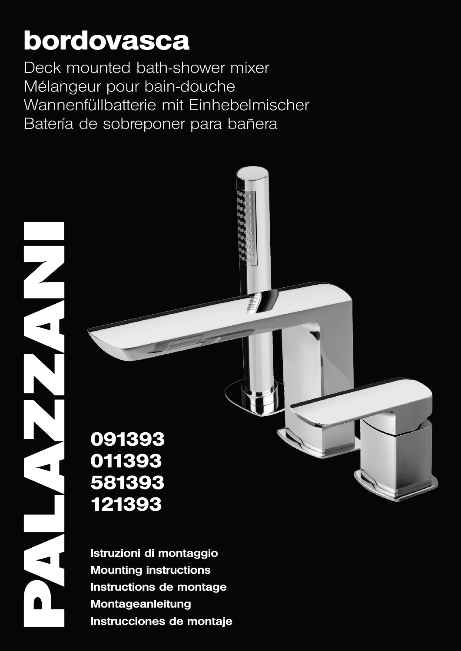# **bordovasca**

 $\blacksquare$  ISTRUME | FR | ISTRUSS | DE MONTAGE | DE MONTAGE | DE MONTAGE | DE MONTAGE | ES | INSTRUCCIONES DE MONTAGE | DE MONTAGE | ES | INSTRUCCIONES DE MONTAGE | DE MONTAGE | DE MONTAGE | ES | INSTRUCCIONES DE MONTAGE | ES Deck mounted bath-shower mixer Mélangeur pour bain-douche Wannenfüllbatterie mit Einhebelmischer Batería de sobreponer para bañera



**Istruzioni di montaggio Mounting instructions Instructions de montage Montageanleitung Instrucciones de montaje**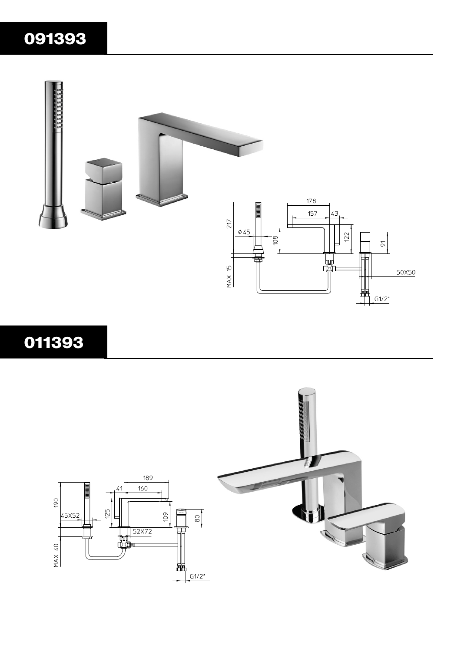## 



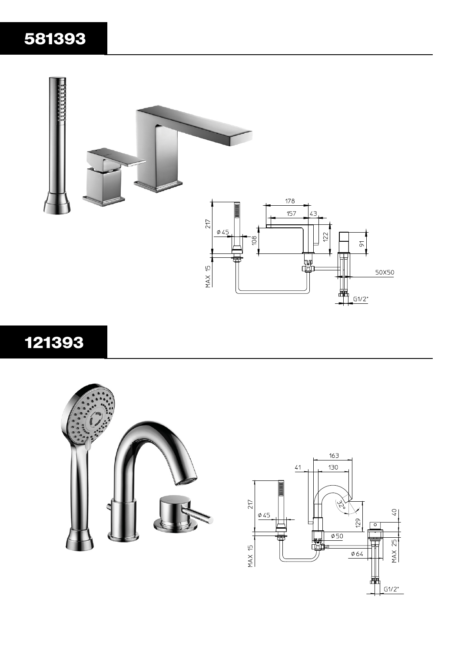## 



## 



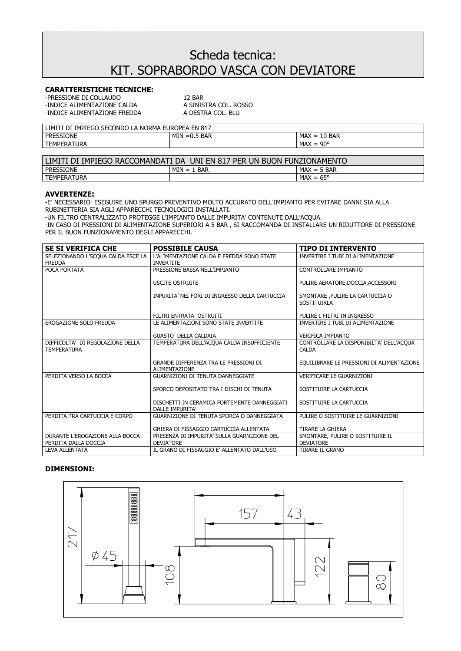## Scheda tecnica: KIT. SOPRABORDO VASCA CON DEVIATORE

### **CARATTERISTICHE TECNICHE:**

-PRESSIONE DI COLLAUDO<br>-INDICE ALIMENTAZIONE CALDA A SINISTRA COL. ROSSO -INDICE ALIMENTAZIONE FREDDA

-INDICE ALIMENTAZIONE CALDA A SINISTRA COL. RC<br>-INDICE ALIMENTAZIONE FREDDA A DESTRA COL. BLU

| <b>SECONDO</b><br>817<br>IMPIEGO<br><b>EUROPEA</b><br>LIMI <sup>-</sup><br><b>NORMA</b><br>FN<br>DI<br>LA.<br>. LA |                      |                                                            |  |  |
|--------------------------------------------------------------------------------------------------------------------|----------------------|------------------------------------------------------------|--|--|
| SIONE<br><b>PRESSI</b>                                                                                             | MIN<br>BAR<br>™ =∪.J | <b>BAR</b><br>MAX<br>$\overline{\phantom{0}}$<br>-<br>- TO |  |  |
| <b>TEMPERAT</b><br><b>FRATURA</b>                                                                                  |                      | $90^{\circ}$<br>MAX<br>$=$                                 |  |  |

| I BUON FUNZIONAMENTO<br>UNI EN 817 PER UN<br>LIMITI<br>I DI IMPIEGO RACCOMANDATI DA |                    |                    |  |  |
|-------------------------------------------------------------------------------------|--------------------|--------------------|--|--|
| <b>PRESSIONE</b>                                                                    | $MIN = 1$<br>. Bar | $MAX = 5$ BAR      |  |  |
| <b>TEMPERATURA</b>                                                                  |                    | $MAX = 65^{\circ}$ |  |  |

#### **AVVERTENZE:**

-E' NECESSARIO ESEGUIRE UNO SPURGO PREVENTIVO MOLTO ACCURATO DELL'IMPIANTO PER EVITARE DANNI SIA ALLA RUBINETTERIA SIA AGLI APPARECCHI TECNOLOGICI INSTALLATI.

-UN FILTRO CENTRALIZZATO PROTEGGE L'IMPIANTO DALLE IMPURITA' CONTENUTE DALL'ACQUA.

-IN CASO DI PRESSIONI DI ALIMENTAZIONE SUPERIORI A 5 BAR , SI RACCOMANDA DI INSTALLARE UN RIDUTTORE DI PRESSIONE PER IL BUON FUNZIONAMENTO DEGLI APPARECCHI.

| <b>SE SI VERIFICA CHE</b>                              | <b>POSSIBILE CAUSA</b>                                          | <b>TIPO DI INTERVENTO</b>                               |
|--------------------------------------------------------|-----------------------------------------------------------------|---------------------------------------------------------|
| SELEZIONANDO L'SCOUA CALDA ESCE LA                     | L'ALIMENTAZIONE CALDA E FREDDA SONO STATE                       | INVERTIRE I TUBI DI ALIMENTAZIONE                       |
| <b>FREDDA</b>                                          | <b>INVERTITE</b>                                                |                                                         |
| POCA PORTATA                                           | PRESSIONE BASSA NELL'IMPIANTO                                   | <b>CONTROLLARE IMPIANTO</b>                             |
|                                                        | <b>USCITE OSTRUITE</b>                                          | PULIRE AERATORE, DOCCIA, ACCESSORI                      |
|                                                        |                                                                 |                                                         |
|                                                        | INPURITA' NEI FORI DI INGRESSO DELLA CARTUCCIA                  | SMONTARE , PULIRE LA CARTUCCIA O<br><b>SOSTITUIRLA</b>  |
|                                                        | FILTRI ENTRATA OSTRUITI                                         | PULIRE I FILTRI IN INGRESSO                             |
| EROGAZIONE SOLO FREDDA                                 | LE ALIMENTAZIONI SONO STATE INVERTITE                           | INVERTIRE I TUBI DI ALIMENTAZIONE                       |
|                                                        | <b>GUASTO DELLA CALDAIA</b>                                     | <b>VERIFICA IMPIANTO</b>                                |
| DIFFICOLTA' DI REGOLAZIONE DELLA<br><b>TEMPERATURA</b> | TEMPERATURA DELL'ACOUA CALDA INSUFFICIENTE                      | CONTROLLARE LA DISPONIBILTA' DELL'ACQUA<br><b>CALDA</b> |
|                                                        | GRANDE DIFFERENZA TRA LE PRESSIONI DI<br><b>ALIMENTAZIONE</b>   | EQUILIBRARE LE PRESSIONI DI ALIMENTAZIONE               |
| PERDITA VERSO LA BOCCA                                 | <b>GUARNIZIONI DI TENUTA DANNEGGIATE</b>                        | <b>VERIFICARE LE GUARNIZIONI</b>                        |
|                                                        | SPORCO DEPOSITATO TRA I DISCHI DI TENUTA                        | SOSTITUIRE LA CARTUCCIA                                 |
|                                                        | DISCHETTI IN CERAMICA FORTEMENTE DANNEGGIATI<br>DALLE IMPURITA' | SOSTITUIRE LA CARTUCCIA                                 |
| PERDITA TRA CARTUCCIA E CORPO                          | GUARNIZIONE DI TENUTA SPORCA O DANNEGGIATA                      | PULIRE O SOSTITUIRE LE GUARNIZIONI                      |
|                                                        | GHIERA DI FISSAGGIO CARTUCCIA ALLENTATA                         | <b>TIRARE LA GHIERA</b>                                 |
| DURANTE L'EROGAZIONE ALLA BOCCA                        | PRESENZA DI IMPURITA' SULLA GUARNIZIONE DEL                     | SMONTARE, PULIRE O SOSTITUIRE IL                        |
| PERDITA DALLA DOCCIA                                   | <b>DEVIATORE</b>                                                | <b>DEVIATORE</b>                                        |
| <b>LEVA ALLENTATA</b>                                  | IL GRANO DI FISSAGGIO E' ALLENTATO DALL'USO                     | <b>TIRARE IL GRANO</b>                                  |

### **DIMENSIONI:**

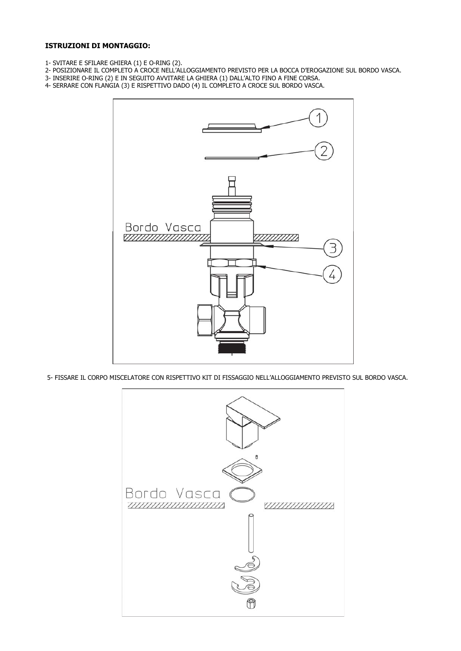### **ISTRUZIONI DI MONTAGGIO:**

- 1- SVITARE E SFILARE GHIERA (1) E O-RING (2).
- 2- POSIZIONARE IL COMPLETO A CROCE NELL'ALLOGGIAMENTO PREVISTO PER LA BOCCA D'EROGAZIONE SUL BORDO VASCA.
- 3- INSERIRE O-RING (2) E IN SEGUITO AVVITARE LA GHIERA (1) DALL'ALTO FINO A FINE CORSA.
- 4- SERRARE CON FLANGIA (3) E RISPETTIVO DADO (4) IL COMPLETO A CROCE SUL BORDO VASCA.



5- FISSARE IL CORPO MISCELATORE CON RISPETTIVO KIT DI FISSAGGIO NELL'ALLOGGIAMENTO PREVISTO SUL BORDO VASCA.

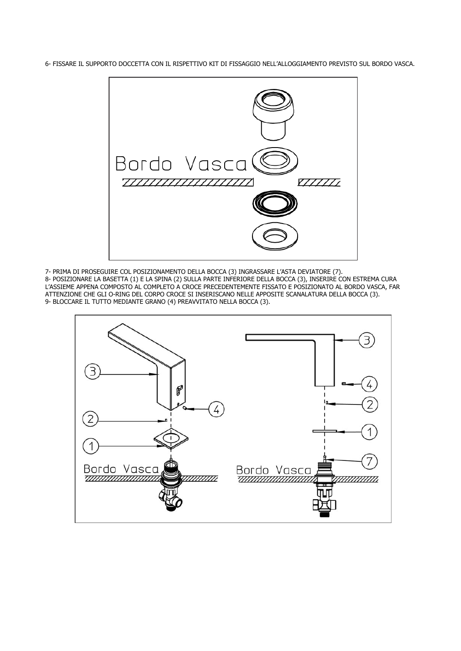6- FISSARE IL SUPPORTO DOCCETTA CON IL RISPETTIVO KIT DI FISSAGGIO NELL'ALLOGGIAMENTO PREVISTO SUL BORDO VASCA.



7- PRIMA DI PROSEGUIRE COL POSIZIONAMENTO DELLA BOCCA (3) INGRASSARE L'ASTA DEVIATORE (7).

8- POSIZIONARE LA BASETTA (1) E LA SPINA (2) SULLA PARTE INFERIORE DELLA BOCCA (3), INSERIRE CON ESTREMA CURA L'ASSIEME APPENA COMPOSTO AL COMPLETO A CROCE PRECEDENTEMENTE FISSATO E POSIZIONATO AL BORDO VASCA, FAR ATTENZIONE CHE GLI O-RING DEL CORPO CROCE SI INSERISCANO NELLE APPOSITE SCANALATURA DELLA BOCCA (3). 9- BLOCCARE IL TUTTO MEDIANTE GRANO (4) PREAVVITATO NELLA BOCCA (3).

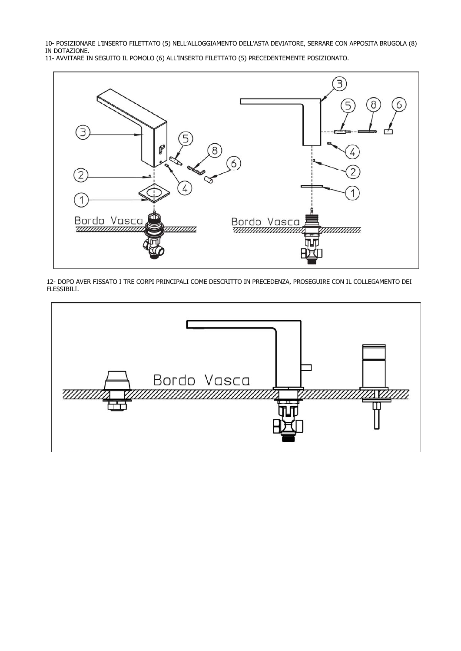10- POSIZIONARE L'INSERTO FILETTATO (5) NELL'ALLOGGIAMENTO DELL'ASTA DEVIATORE, SERRARE CON APPOSITA BRUGOLA (8) IN DOTAZIONE.

11- AVVITARE IN SEGUITO IL POMOLO (6) ALL'INSERTO FILETTATO (5) PRECEDENTEMENTE POSIZIONATO.



12- DOPO AVER FISSATO I TRE CORPI PRINCIPALI COME DESCRITTO IN PRECEDENZA, PROSEGUIRE CON IL COLLEGAMENTO DEI FLESSIBILI.

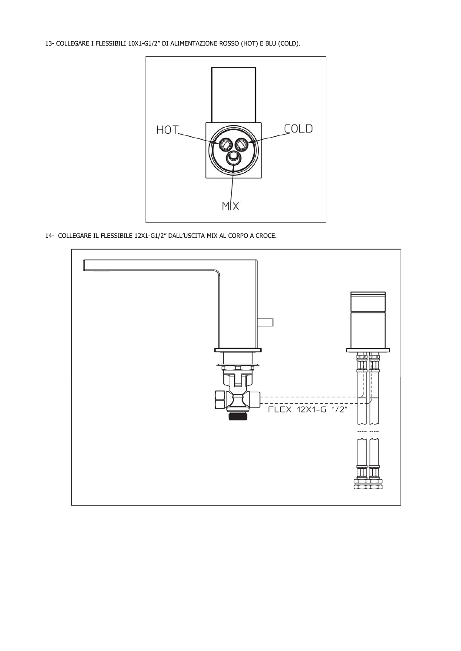13- COLLEGARE I FLESSIBILI 10X1-G1/2" DI ALIMENTAZIONE ROSSO (HOT) E BLU (COLD).



14- COLLEGARE IL FLESSIBILE 12X1-G1/2" DALL'USCITA MIX AL CORPO A CROCE.